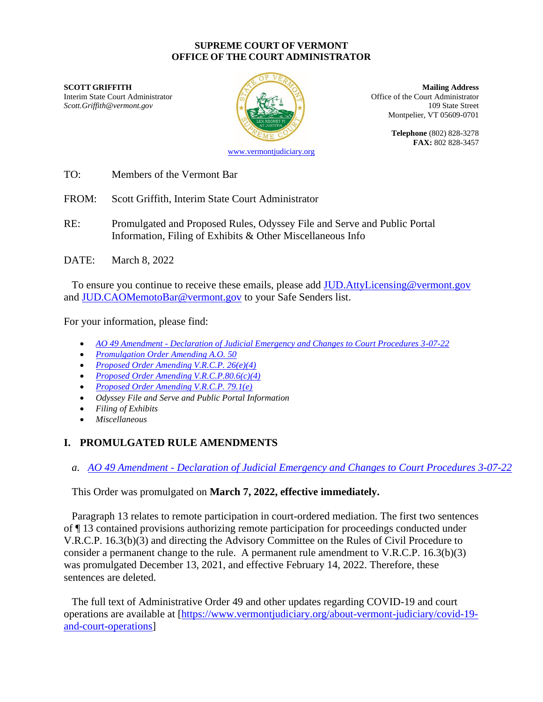#### **SUPREME COURT OF VERMONT OFFICE OF THE COURT ADMINISTRATOR**

**SCOTT GRIFFITH Mailing Address** 



Interim State Court Administrator (Court Administrator of the Court Administrator of the Court Administrator Scott.Griffith@vermont.gov 109 State Street Montpelier, VT 05609-0701

> **Telephone** (802) 828-3278 **FAX:** 802 828-3457

[www.vermontjudiciary.org](http://www.vermontjudiciary.org/)

TO: Members of the Vermont Bar

FROM: Scott Griffith, Interim State Court Administrator

RE: Promulgated and Proposed Rules, Odyssey File and Serve and Public Portal Information, Filing of Exhibits & Other Miscellaneous Info

DATE: March 8, 2022

To ensure you continue to receive these emails, please add [JUD.AttyLicensing@vermont.gov](mailto:JUD.AttyLicensing@vermont.gov) and [JUD.CAOMemotoBar@vermont.gov](mailto:JUD.CAOMemotoBar@vermont.gov) to your Safe Senders list.

For your information, please find:

- *AO 49 Amendment - [Declaration of Judicial Emergency and Changes to Court Procedures 3-07-22](https://www.vermontjudiciary.org/sites/default/files/documents/PROMULGATED%20AO%2049%20Amendment%20-%20Declaration%20of%20Judicial%20Emergency%20and%20Changes%20to%20Court%20Procedures%20-%203-7-22--STAMPED.pdf)*
- *[Promulgation Order Amending A.O. 50](https://www.vermontjudiciary.org/sites/default/files/documents/PROMULGATED%20AO%2050%20amendment--STAMPED.pdf)*
- *[Proposed Order Amending V.R.C.P. 26\(e\)\(4\)](https://www.vermontjudiciary.org/sites/default/files/documents/PROPOSEDVRCP26%28e%29%284%29--FOR%20COMMENT.pdf)*
- *[Proposed Order Amending V.R.C.P.80.6\(c\)\(4\)](https://www.vermontjudiciary.org/sites/default/files/documents/PROPOSEDVRCP80.6%28c%29%284%29--FOR%20COMMENT.pdf)*
- *[Proposed Order Amending V.R.C.P. 79.1\(e\)](https://www.vermontjudiciary.org/sites/default/files/documents/PROPOSEDVRCP79.1%28e%29--FOR%20COMMENT.pdf)*
- *Odyssey File and Serve and Public Portal Information*
- *Filing of Exhibits*
- *Miscellaneous*

# **I. PROMULGATED RULE AMENDMENTS**

*a. AO 49 Amendment - [Declaration of Judicial Emergency and Changes to Court Procedures 3-07-22](https://www.vermontjudiciary.org/sites/default/files/documents/PROMULGATED%20AO%2049%20Amendment%20-%20Declaration%20of%20Judicial%20Emergency%20and%20Changes%20to%20Court%20Procedures%20-%203-7-22--STAMPED.pdf)*

This Order was promulgated on **March 7, 2022, effective immediately.**

Paragraph 13 relates to remote participation in court-ordered mediation. The first two sentences of ¶ 13 contained provisions authorizing remote participation for proceedings conducted under V.R.C.P. 16.3(b)(3) and directing the Advisory Committee on the Rules of Civil Procedure to consider a permanent change to the rule. A permanent rule amendment to V.R.C.P. 16.3(b)(3) was promulgated December 13, 2021, and effective February 14, 2022. Therefore, these sentences are deleted.

The full text of Administrative Order 49 and other updates regarding COVID-19 and court operations are available at [\[https://www.vermontjudiciary.org/about-vermont-judiciary/covid-19](https://www.vermontjudiciary.org/about-vermont-judiciary/covid-19-and-court-operations) [and-court-operations\]](https://www.vermontjudiciary.org/about-vermont-judiciary/covid-19-and-court-operations)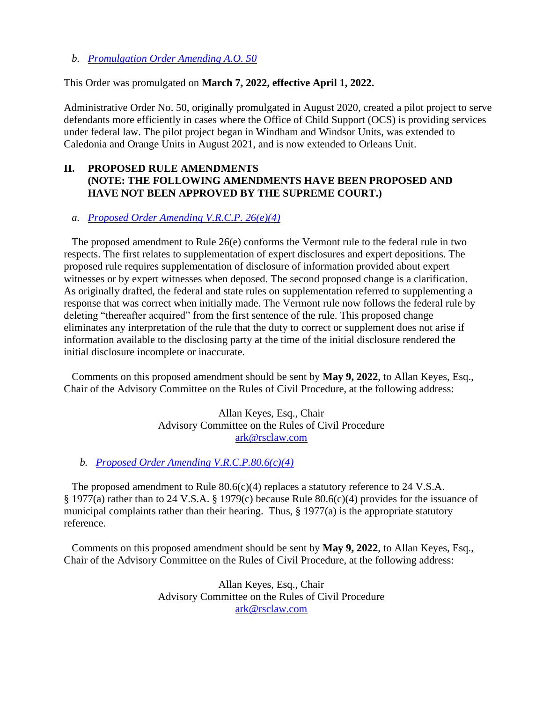*b. [Promulgation Order Amending A.O. 50](https://www.vermontjudiciary.org/sites/default/files/documents/PROMULGATED%20AO%2050%20amendment--STAMPED.pdf)* 

### This Order was promulgated on **March 7, 2022, effective April 1, 2022.**

Administrative Order No. 50, originally promulgated in August 2020, created a pilot project to serve defendants more efficiently in cases where the Office of Child Support (OCS) is providing services under federal law. The pilot project began in Windham and Windsor Units, was extended to Caledonia and Orange Units in August 2021, and is now extended to Orleans Unit.

## **II. PROPOSED RULE AMENDMENTS (NOTE: THE FOLLOWING AMENDMENTS HAVE BEEN PROPOSED AND HAVE NOT BEEN APPROVED BY THE SUPREME COURT.)**

### *a. [Proposed Order Amending V.R.C.P. 26\(e\)\(4\)](https://www.vermontjudiciary.org/sites/default/files/documents/PROPOSEDVRCP26%28e%29%284%29--FOR%20COMMENT.pdf)*

The proposed amendment to Rule 26(e) conforms the Vermont rule to the federal rule in two respects. The first relates to supplementation of expert disclosures and expert depositions. The proposed rule requires supplementation of disclosure of information provided about expert witnesses or by expert witnesses when deposed. The second proposed change is a clarification. As originally drafted, the federal and state rules on supplementation referred to supplementing a response that was correct when initially made. The Vermont rule now follows the federal rule by deleting "thereafter acquired" from the first sentence of the rule. This proposed change eliminates any interpretation of the rule that the duty to correct or supplement does not arise if information available to the disclosing party at the time of the initial disclosure rendered the initial disclosure incomplete or inaccurate.

Comments on this proposed amendment should be sent by **May 9, 2022**, to Allan Keyes, Esq., Chair of the Advisory Committee on the Rules of Civil Procedure, at the following address:

> Allan Keyes, Esq., Chair Advisory Committee on the Rules of Civil Procedure [ark@rsclaw.com](mailto:ark@rsclaw.com)

### *b. [Proposed Order Amending V.R.C.P.80.6\(c\)\(4\)](https://www.vermontjudiciary.org/sites/default/files/documents/PROPOSEDVRCP80.6%28c%29%284%29--FOR%20COMMENT.pdf)*

The proposed amendment to Rule  $80.6(c)(4)$  replaces a statutory reference to 24 V.S.A. § 1977(a) rather than to 24 V.S.A. § 1979(c) because Rule 80.6(c)(4) provides for the issuance of municipal complaints rather than their hearing. Thus,  $\S 1977(a)$  is the appropriate statutory reference.

Comments on this proposed amendment should be sent by **May 9, 2022**, to Allan Keyes, Esq., Chair of the Advisory Committee on the Rules of Civil Procedure, at the following address:

> Allan Keyes, Esq., Chair Advisory Committee on the Rules of Civil Procedure [ark@rsclaw.com](mailto:ark@rsclaw.com)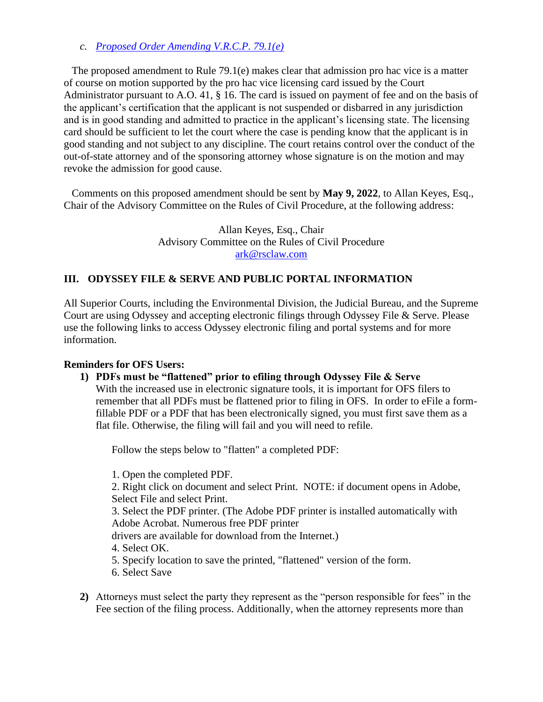## *c. [Proposed Order Amending V.R.C.P. 79.1\(e\)](https://www.vermontjudiciary.org/sites/default/files/documents/PROPOSEDVRCP79.1%28e%29--FOR%20COMMENT.pdf)*

The proposed amendment to Rule 79.1(e) makes clear that admission pro hac vice is a matter of course on motion supported by the pro hac vice licensing card issued by the Court Administrator pursuant to A.O. 41, § 16. The card is issued on payment of fee and on the basis of the applicant's certification that the applicant is not suspended or disbarred in any jurisdiction and is in good standing and admitted to practice in the applicant's licensing state. The licensing card should be sufficient to let the court where the case is pending know that the applicant is in good standing and not subject to any discipline. The court retains control over the conduct of the out-of-state attorney and of the sponsoring attorney whose signature is on the motion and may revoke the admission for good cause.

Comments on this proposed amendment should be sent by **May 9, 2022**, to Allan Keyes, Esq., Chair of the Advisory Committee on the Rules of Civil Procedure, at the following address:

> Allan Keyes, Esq., Chair Advisory Committee on the Rules of Civil Procedure [ark@rsclaw.com](mailto:ark@rsclaw.com)

### **III. ODYSSEY FILE & SERVE AND PUBLIC PORTAL INFORMATION**

All Superior Courts, including the Environmental Division, the Judicial Bureau, and the Supreme Court are using Odyssey and accepting electronic filings through Odyssey File & Serve. Please use the following links to access Odyssey electronic filing and portal systems and for more information.

#### **Reminders for OFS Users:**

**1) PDFs must be "flattened" prior to efiling through Odyssey File & Serve** With the increased use in electronic signature tools, it is important for OFS filers to remember that all PDFs must be flattened prior to filing in OFS. In order to eFile a formfillable PDF or a PDF that has been electronically signed, you must first save them as a flat file. Otherwise, the filing will fail and you will need to refile.

Follow the steps below to "flatten" a completed PDF:

1. Open the completed PDF. 2. Right click on document and select Print. NOTE: if document opens in Adobe, Select File and select Print. 3. Select the PDF printer. (The Adobe PDF printer is installed automatically with Adobe Acrobat. Numerous free PDF printer drivers are available for download from the Internet.) 4. Select OK. 5. Specify location to save the printed, "flattened" version of the form. 6. Select Save

**2)** Attorneys must select the party they represent as the "person responsible for fees" in the Fee section of the filing process. Additionally, when the attorney represents more than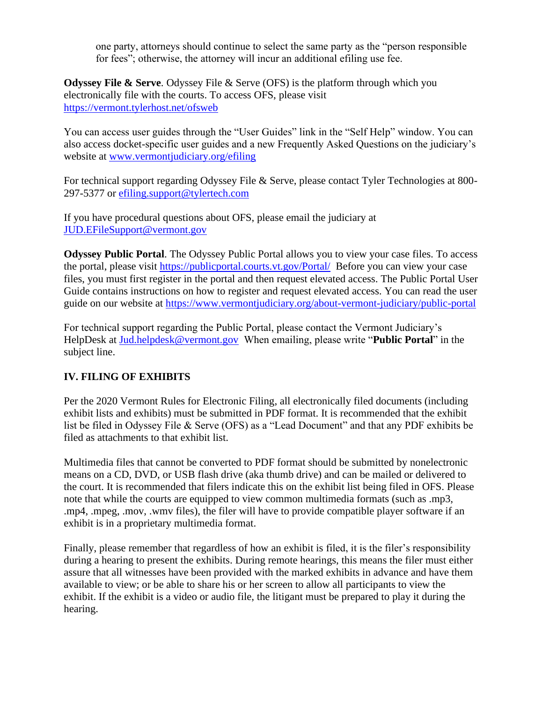one party, attorneys should continue to select the same party as the "person responsible for fees"; otherwise, the attorney will incur an additional efiling use fee.

**Odyssey File & Serve.** Odyssey File & Serve (OFS) is the platform through which you electronically file with the courts. To access OFS, please visit <https://vermont.tylerhost.net/ofsweb>

You can access user guides through the "User Guides" link in the "Self Help" window. You can also access docket-specific user guides and a new Frequently Asked Questions on the judiciary's website at [www.vermontjudiciary.org/efiling](https://www.vermontjudiciary.org/about-vermont-judiciary/electronic-access/electronic-filing)

For technical support regarding Odyssey File & Serve, please contact Tyler Technologies at 800- 297-5377 or [efiling.support@tylertech.com](mailto:efiling.support@tylertech.com)

If you have procedural questions about OFS, please email the judiciary at [JUD.EFileSupport@vermont.gov](mailto:JUD.EFileSupport@vermont.gov)

**Odyssey Public Portal**. The Odyssey Public Portal allows you to view your case files. To access the portal, please visit<https://publicportal.courts.vt.gov/Portal/> Before you can view your case files, you must first register in the portal and then request elevated access. The Public Portal User Guide contains instructions on how to register and request elevated access. You can read the user guide on our website at<https://www.vermontjudiciary.org/about-vermont-judiciary/public-portal>

For technical support regarding the Public Portal, please contact the Vermont Judiciary's HelpDesk at [Jud.helpdesk@vermont.gov](mailto:Jud.helpdesk@vermont.gov) When emailing, please write "**Public Portal**" in the subject line.

# **IV. FILING OF EXHIBITS**

Per the 2020 Vermont Rules for Electronic Filing, all electronically filed documents (including exhibit lists and exhibits) must be submitted in PDF format. It is recommended that the exhibit list be filed in Odyssey File & Serve (OFS) as a "Lead Document" and that any PDF exhibits be filed as attachments to that exhibit list.

Multimedia files that cannot be converted to PDF format should be submitted by nonelectronic means on a CD, DVD, or USB flash drive (aka thumb drive) and can be mailed or delivered to the court. It is recommended that filers indicate this on the exhibit list being filed in OFS. Please note that while the courts are equipped to view common multimedia formats (such as .mp3, .mp4, .mpeg, .mov, .wmv files), the filer will have to provide compatible player software if an exhibit is in a proprietary multimedia format.

Finally, please remember that regardless of how an exhibit is filed, it is the filer's responsibility during a hearing to present the exhibits. During remote hearings, this means the filer must either assure that all witnesses have been provided with the marked exhibits in advance and have them available to view; or be able to share his or her screen to allow all participants to view the exhibit. If the exhibit is a video or audio file, the litigant must be prepared to play it during the hearing.